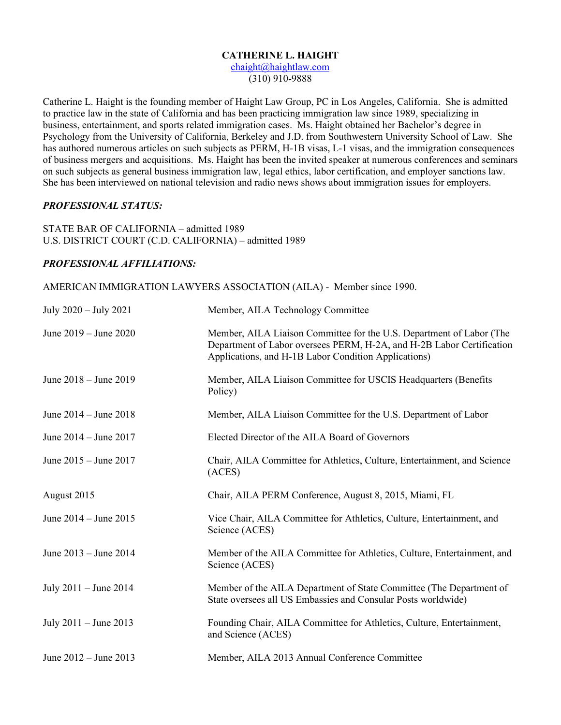#### **CATHERINE L. HAIGHT**

[chaight@haightlaw.com](mailto:chaight@haightlaw.com) (310) 910-9888

Catherine L. Haight is the founding member of Haight Law Group, PC in Los Angeles, California. She is admitted to practice law in the state of California and has been practicing immigration law since 1989, specializing in business, entertainment, and sports related immigration cases. Ms. Haight obtained her Bachelor's degree in Psychology from the University of California, Berkeley and J.D. from Southwestern University School of Law. She has authored numerous articles on such subjects as PERM, H-1B visas, L-1 visas, and the immigration consequences of business mergers and acquisitions. Ms. Haight has been the invited speaker at numerous conferences and seminars on such subjects as general business immigration law, legal ethics, labor certification, and employer sanctions law. She has been interviewed on national television and radio news shows about immigration issues for employers.

#### *PROFESSIONAL STATUS:*

STATE BAR OF CALIFORNIA – admitted 1989 U.S. DISTRICT COURT (C.D. CALIFORNIA) – admitted 1989

# *PROFESSIONAL AFFILIATIONS:*

AMERICAN IMMIGRATION LAWYERS ASSOCIATION (AILA) - Member since 1990.

| July 2020 - July 2021     | Member, AILA Technology Committee                                                                                                                                                                     |
|---------------------------|-------------------------------------------------------------------------------------------------------------------------------------------------------------------------------------------------------|
| June 2019 – June 2020     | Member, AILA Liaison Committee for the U.S. Department of Labor (The<br>Department of Labor oversees PERM, H-2A, and H-2B Labor Certification<br>Applications, and H-1B Labor Condition Applications) |
| June $2018 -$ June $2019$ | Member, AILA Liaison Committee for USCIS Headquarters (Benefits<br>Policy)                                                                                                                            |
| June $2014 -$ June $2018$ | Member, AILA Liaison Committee for the U.S. Department of Labor                                                                                                                                       |
| June 2014 – June 2017     | Elected Director of the AILA Board of Governors                                                                                                                                                       |
| June 2015 - June 2017     | Chair, AILA Committee for Athletics, Culture, Entertainment, and Science<br>(ACES)                                                                                                                    |
|                           |                                                                                                                                                                                                       |
| August 2015               | Chair, AILA PERM Conference, August 8, 2015, Miami, FL                                                                                                                                                |
| June 2014 – June 2015     | Vice Chair, AILA Committee for Athletics, Culture, Entertainment, and<br>Science (ACES)                                                                                                               |
| June 2013 – June 2014     | Member of the AILA Committee for Athletics, Culture, Entertainment, and<br>Science (ACES)                                                                                                             |
| July $2011 -$ June $2014$ | Member of the AILA Department of State Committee (The Department of<br>State oversees all US Embassies and Consular Posts worldwide)                                                                  |
| July $2011 -$ June $2013$ | Founding Chair, AILA Committee for Athletics, Culture, Entertainment,<br>and Science (ACES)                                                                                                           |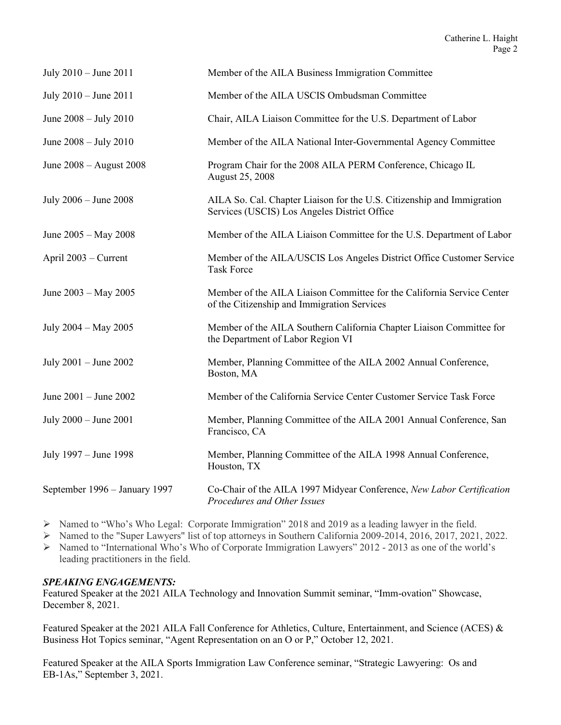| July $2010 -$ June $2011$     | Member of the AILA Business Immigration Committee                                                                      |
|-------------------------------|------------------------------------------------------------------------------------------------------------------------|
| July 2010 – June 2011         | Member of the AILA USCIS Ombudsman Committee                                                                           |
| June $2008 -$ July $2010$     | Chair, AILA Liaison Committee for the U.S. Department of Labor                                                         |
| June 2008 - July 2010         | Member of the AILA National Inter-Governmental Agency Committee                                                        |
| June 2008 – August 2008       | Program Chair for the 2008 AILA PERM Conference, Chicago IL<br>August 25, 2008                                         |
| July 2006 - June 2008         | AILA So. Cal. Chapter Liaison for the U.S. Citizenship and Immigration<br>Services (USCIS) Los Angeles District Office |
| June 2005 - May 2008          | Member of the AILA Liaison Committee for the U.S. Department of Labor                                                  |
| April 2003 – Current          | Member of the AILA/USCIS Los Angeles District Office Customer Service<br><b>Task Force</b>                             |
| June 2003 - May 2005          | Member of the AILA Liaison Committee for the California Service Center<br>of the Citizenship and Immigration Services  |
| July 2004 - May 2005          | Member of the AILA Southern California Chapter Liaison Committee for<br>the Department of Labor Region VI              |
| July $2001 -$ June $2002$     | Member, Planning Committee of the AILA 2002 Annual Conference,<br>Boston, MA                                           |
| June 2001 - June 2002         | Member of the California Service Center Customer Service Task Force                                                    |
| July 2000 - June 2001         | Member, Planning Committee of the AILA 2001 Annual Conference, San<br>Francisco, CA                                    |
| July 1997 - June 1998         | Member, Planning Committee of the AILA 1998 Annual Conference,<br>Houston, TX                                          |
| September 1996 - January 1997 | Co-Chair of the AILA 1997 Midyear Conference, New Labor Certification<br>Procedures and Other Issues                   |

- Named to "Who's Who Legal: Corporate Immigration" 2018 and 2019 as a leading lawyer in the field.
- Named to the "Super Lawyers" list of top attorneys in Southern California 2009-2014, 2016, 2017, 2021, 2022.
- Named to "International Who's Who of Corporate Immigration Lawyers" 2012 2013 as one of the world's leading practitioners in the field.

# *SPEAKING ENGAGEMENTS:*

Featured Speaker at the 2021 AILA Technology and Innovation Summit seminar, "Imm-ovation" Showcase, December 8, 2021.

Featured Speaker at the 2021 AILA Fall Conference for Athletics, Culture, Entertainment, and Science (ACES) & Business Hot Topics seminar, "Agent Representation on an O or P," October 12, 2021.

Featured Speaker at the AILA Sports Immigration Law Conference seminar, "Strategic Lawyering: Os and EB-1As," September 3, 2021.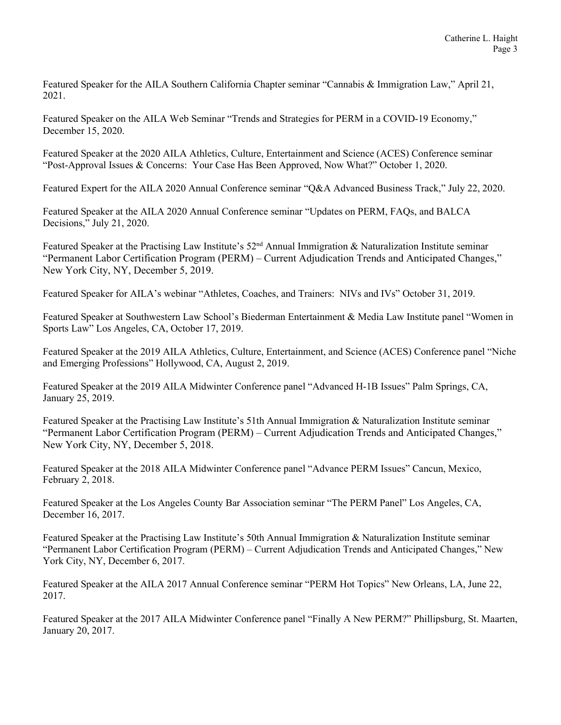Featured Speaker for the AILA Southern California Chapter seminar "Cannabis & Immigration Law," April 21, 2021.

Featured Speaker on the AILA Web Seminar "Trends and Strategies for PERM in a COVID-19 Economy," December 15, 2020.

Featured Speaker at the 2020 AILA Athletics, Culture, Entertainment and Science (ACES) Conference seminar "Post-Approval Issues & Concerns: Your Case Has Been Approved, Now What?" October 1, 2020.

Featured Expert for the AILA 2020 Annual Conference seminar "Q&A Advanced Business Track," July 22, 2020.

Featured Speaker at the AILA 2020 Annual Conference seminar "Updates on PERM, FAQs, and BALCA Decisions," July 21, 2020.

Featured Speaker at the Practising Law Institute's 52<sup>nd</sup> Annual Immigration & Naturalization Institute seminar "Permanent Labor Certification Program (PERM) – Current Adjudication Trends and Anticipated Changes," New York City, NY, December 5, 2019.

Featured Speaker for AILA's webinar "Athletes, Coaches, and Trainers: NIVs and IVs" October 31, 2019.

Featured Speaker at Southwestern Law School's Biederman Entertainment & Media Law Institute panel "Women in Sports Law" Los Angeles, CA, October 17, 2019.

Featured Speaker at the 2019 AILA Athletics, Culture, Entertainment, and Science (ACES) Conference panel "Niche and Emerging Professions" Hollywood, CA, August 2, 2019.

Featured Speaker at the 2019 AILA Midwinter Conference panel "Advanced H-1B Issues" Palm Springs, CA, January 25, 2019.

Featured Speaker at the Practising Law Institute's 51th Annual Immigration & Naturalization Institute seminar "Permanent Labor Certification Program (PERM) – Current Adjudication Trends and Anticipated Changes," New York City, NY, December 5, 2018.

Featured Speaker at the 2018 AILA Midwinter Conference panel "Advance PERM Issues" Cancun, Mexico, February 2, 2018.

Featured Speaker at the Los Angeles County Bar Association seminar "The PERM Panel" Los Angeles, CA, December 16, 2017.

Featured Speaker at the Practising Law Institute's 50th Annual Immigration & Naturalization Institute seminar "Permanent Labor Certification Program (PERM) – Current Adjudication Trends and Anticipated Changes," New York City, NY, December 6, 2017.

Featured Speaker at the AILA 2017 Annual Conference seminar "PERM Hot Topics" New Orleans, LA, June 22, 2017.

Featured Speaker at the 2017 AILA Midwinter Conference panel "Finally A New PERM?" Phillipsburg, St. Maarten, January 20, 2017.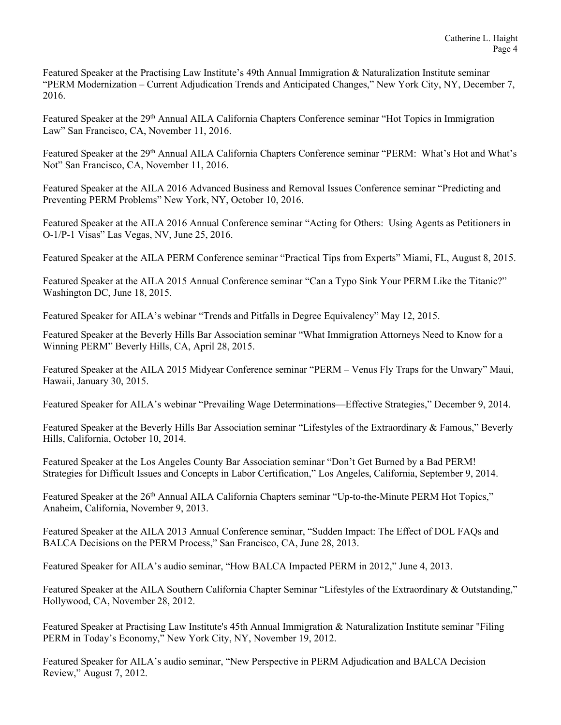Featured Speaker at the Practising Law Institute's 49th Annual Immigration & Naturalization Institute seminar "PERM Modernization – Current Adjudication Trends and Anticipated Changes," New York City, NY, December 7, 2016.

Featured Speaker at the 29<sup>th</sup> Annual AILA California Chapters Conference seminar "Hot Topics in Immigration Law" San Francisco, CA, November 11, 2016.

Featured Speaker at the 29<sup>th</sup> Annual AILA California Chapters Conference seminar "PERM: What's Hot and What's Not" San Francisco, CA, November 11, 2016.

Featured Speaker at the AILA 2016 Advanced Business and Removal Issues Conference seminar "Predicting and Preventing PERM Problems" New York, NY, October 10, 2016.

Featured Speaker at the AILA 2016 Annual Conference seminar "Acting for Others: Using Agents as Petitioners in O-1/P-1 Visas" Las Vegas, NV, June 25, 2016.

Featured Speaker at the AILA PERM Conference seminar "Practical Tips from Experts" Miami, FL, August 8, 2015.

Featured Speaker at the AILA 2015 Annual Conference seminar "Can a Typo Sink Your PERM Like the Titanic?" Washington DC, June 18, 2015.

Featured Speaker for AILA's webinar "Trends and Pitfalls in Degree Equivalency" May 12, 2015.

Featured Speaker at the Beverly Hills Bar Association seminar "What Immigration Attorneys Need to Know for a Winning PERM" Beverly Hills, CA, April 28, 2015.

Featured Speaker at the AILA 2015 Midyear Conference seminar "PERM – Venus Fly Traps for the Unwary" Maui, Hawaii, January 30, 2015.

Featured Speaker for AILA's webinar "Prevailing Wage Determinations—Effective Strategies," December 9, 2014.

Featured Speaker at the Beverly Hills Bar Association seminar "Lifestyles of the Extraordinary & Famous," Beverly Hills, California, October 10, 2014.

Featured Speaker at the Los Angeles County Bar Association seminar "Don't Get Burned by a Bad PERM! Strategies for Difficult Issues and Concepts in Labor Certification," Los Angeles, California, September 9, 2014.

Featured Speaker at the 26<sup>th</sup> Annual AILA California Chapters seminar "Up-to-the-Minute PERM Hot Topics," Anaheim, California, November 9, 2013.

Featured Speaker at the AILA 2013 Annual Conference seminar, "Sudden Impact: The Effect of DOL FAQs and BALCA Decisions on the PERM Process," San Francisco, CA, June 28, 2013.

Featured Speaker for AILA's audio seminar, "How BALCA Impacted PERM in 2012," June 4, 2013.

Featured Speaker at the AILA Southern California Chapter Seminar "Lifestyles of the Extraordinary & Outstanding," Hollywood, CA, November 28, 2012.

Featured Speaker at Practising Law Institute's 45th Annual Immigration & Naturalization Institute seminar "Filing PERM in Today's Economy," New York City, NY, November 19, 2012.

Featured Speaker for AILA's audio seminar, "New Perspective in PERM Adjudication and BALCA Decision Review," August 7, 2012.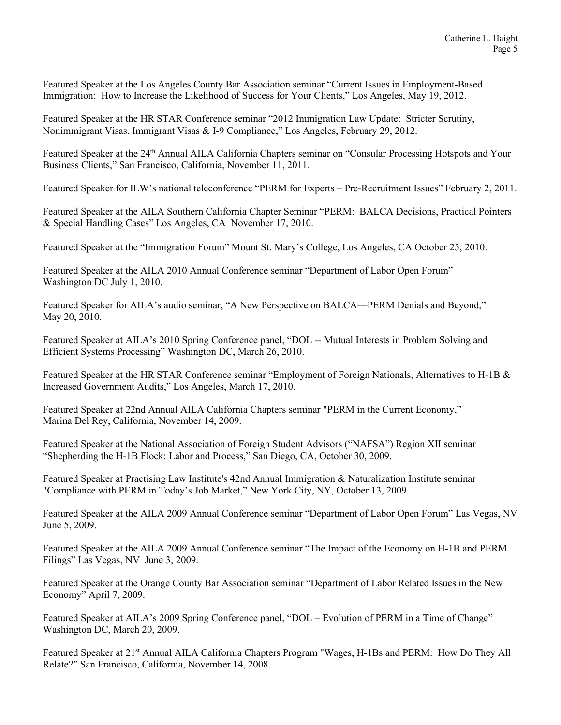Featured Speaker at the Los Angeles County Bar Association seminar "Current Issues in Employment-Based Immigration: How to Increase the Likelihood of Success for Your Clients," Los Angeles, May 19, 2012.

Featured Speaker at the HR STAR Conference seminar "2012 Immigration Law Update: Stricter Scrutiny, Nonimmigrant Visas, Immigrant Visas & I-9 Compliance," Los Angeles, February 29, 2012.

Featured Speaker at the 24<sup>th</sup> Annual AILA California Chapters seminar on "Consular Processing Hotspots and Your Business Clients," San Francisco, California, November 11, 2011.

Featured Speaker for ILW's national teleconference "PERM for Experts – Pre-Recruitment Issues" February 2, 2011.

Featured Speaker at the AILA Southern California Chapter Seminar "PERM: BALCA Decisions, Practical Pointers & Special Handling Cases" Los Angeles, CA November 17, 2010.

Featured Speaker at the "Immigration Forum" Mount St. Mary's College, Los Angeles, CA October 25, 2010.

Featured Speaker at the AILA 2010 Annual Conference seminar "Department of Labor Open Forum" Washington DC July 1, 2010.

Featured Speaker for AILA's audio seminar, "A New Perspective on BALCA—PERM Denials and Beyond," May 20, 2010.

Featured Speaker at AILA's 2010 Spring Conference panel, "DOL -- Mutual Interests in Problem Solving and Efficient Systems Processing" Washington DC, March 26, 2010.

Featured Speaker at the HR STAR Conference seminar "Employment of Foreign Nationals, Alternatives to H-1B & Increased Government Audits," Los Angeles, March 17, 2010.

Featured Speaker at 22nd Annual AILA California Chapters seminar "PERM in the Current Economy," Marina Del Rey, California, November 14, 2009.

Featured Speaker at the National Association of Foreign Student Advisors ("NAFSA") Region XII seminar "Shepherding the H-1B Flock: Labor and Process," San Diego, CA, October 30, 2009.

Featured Speaker at Practising Law Institute's 42nd Annual Immigration & Naturalization Institute seminar "Compliance with PERM in Today's Job Market," New York City, NY, October 13, 2009.

Featured Speaker at the AILA 2009 Annual Conference seminar "Department of Labor Open Forum" Las Vegas, NV June 5, 2009.

Featured Speaker at the AILA 2009 Annual Conference seminar "The Impact of the Economy on H-1B and PERM Filings" Las Vegas, NV June 3, 2009.

Featured Speaker at the Orange County Bar Association seminar "Department of Labor Related Issues in the New Economy" April 7, 2009.

Featured Speaker at AILA's 2009 Spring Conference panel, "DOL – Evolution of PERM in a Time of Change" Washington DC, March 20, 2009.

Featured Speaker at 21<sup>st</sup> Annual AILA California Chapters Program "Wages, H-1Bs and PERM: How Do They All Relate?" San Francisco, California, November 14, 2008.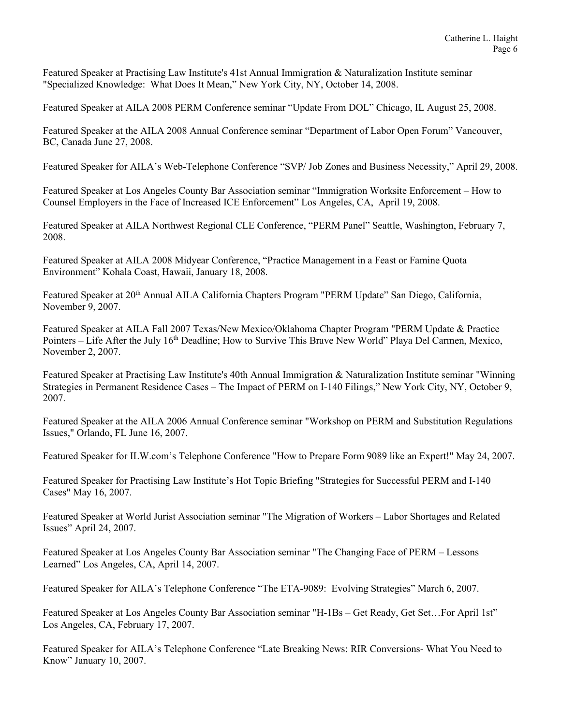Featured Speaker at Practising Law Institute's 41st Annual Immigration & Naturalization Institute seminar "Specialized Knowledge: What Does It Mean," New York City, NY, October 14, 2008.

Featured Speaker at AILA 2008 PERM Conference seminar "Update From DOL" Chicago, IL August 25, 2008.

Featured Speaker at the AILA 2008 Annual Conference seminar "Department of Labor Open Forum" Vancouver, BC, Canada June 27, 2008.

Featured Speaker for AILA's Web-Telephone Conference "SVP/ Job Zones and Business Necessity," April 29, 2008.

Featured Speaker at Los Angeles County Bar Association seminar "Immigration Worksite Enforcement – How to Counsel Employers in the Face of Increased ICE Enforcement" Los Angeles, CA, April 19, 2008.

Featured Speaker at AILA Northwest Regional CLE Conference, "PERM Panel" Seattle, Washington, February 7, 2008.

Featured Speaker at AILA 2008 Midyear Conference, "Practice Management in a Feast or Famine Quota Environment" Kohala Coast, Hawaii, January 18, 2008.

Featured Speaker at 20<sup>th</sup> Annual AILA California Chapters Program "PERM Update" San Diego, California, November 9, 2007.

Featured Speaker at AILA Fall 2007 Texas/New Mexico/Oklahoma Chapter Program "PERM Update & Practice Pointers – Life After the July 16th Deadline; How to Survive This Brave New World" Playa Del Carmen, Mexico, November 2, 2007.

Featured Speaker at Practising Law Institute's 40th Annual Immigration & Naturalization Institute seminar "Winning Strategies in Permanent Residence Cases – The Impact of PERM on I-140 Filings," New York City, NY, October 9, 2007.

Featured Speaker at the AILA 2006 Annual Conference seminar "Workshop on PERM and Substitution Regulations Issues," Orlando, FL June 16, 2007.

Featured Speaker for ILW.com's Telephone Conference "How to Prepare Form 9089 like an Expert!" May 24, 2007.

Featured Speaker for Practising Law Institute's Hot Topic Briefing "Strategies for Successful PERM and I-140 Cases" May 16, 2007.

Featured Speaker at World Jurist Association seminar "The Migration of Workers – Labor Shortages and Related Issues" April 24, 2007.

Featured Speaker at Los Angeles County Bar Association seminar "The Changing Face of PERM – Lessons Learned" Los Angeles, CA, April 14, 2007.

Featured Speaker for AILA's Telephone Conference "The ETA-9089: Evolving Strategies" March 6, 2007.

Featured Speaker at Los Angeles County Bar Association seminar "H-1Bs – Get Ready, Get Set…For April 1st" Los Angeles, CA, February 17, 2007.

Featured Speaker for AILA's Telephone Conference "Late Breaking News: RIR Conversions- What You Need to Know" January 10, 2007.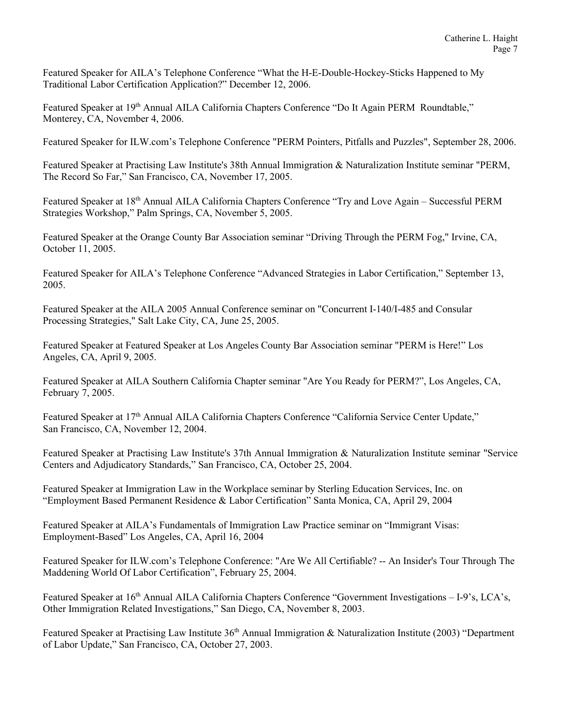Featured Speaker for AILA's Telephone Conference "What the H-E-Double-Hockey-Sticks Happened to My Traditional Labor Certification Application?" December 12, 2006.

Featured Speaker at 19<sup>th</sup> Annual AILA California Chapters Conference "Do It Again PERM Roundtable," Monterey, CA, November 4, 2006.

Featured Speaker for ILW.com's Telephone Conference "PERM Pointers, Pitfalls and Puzzles", September 28, 2006.

Featured Speaker at Practising Law Institute's 38th Annual Immigration & Naturalization Institute seminar "PERM, The Record So Far," San Francisco, CA, November 17, 2005.

Featured Speaker at 18<sup>th</sup> Annual AILA California Chapters Conference "Try and Love Again – Successful PERM Strategies Workshop," Palm Springs, CA, November 5, 2005.

Featured Speaker at the Orange County Bar Association seminar "Driving Through the PERM Fog," Irvine, CA, October 11, 2005.

Featured Speaker for AILA's Telephone Conference "Advanced Strategies in Labor Certification," September 13, 2005.

Featured Speaker at the AILA 2005 Annual Conference seminar on "Concurrent I-140/I-485 and Consular Processing Strategies," Salt Lake City, CA, June 25, 2005.

Featured Speaker at Featured Speaker at Los Angeles County Bar Association seminar "PERM is Here!" Los Angeles, CA, April 9, 2005.

Featured Speaker at AILA Southern California Chapter seminar "Are You Ready for PERM?", Los Angeles, CA, February 7, 2005.

Featured Speaker at 17<sup>th</sup> Annual AILA California Chapters Conference "California Service Center Update," San Francisco, CA, November 12, 2004.

Featured Speaker at Practising Law Institute's 37th Annual Immigration & Naturalization Institute seminar "Service Centers and Adjudicatory Standards," San Francisco, CA, October 25, 2004.

Featured Speaker at Immigration Law in the Workplace seminar by Sterling Education Services, Inc. on "Employment Based Permanent Residence & Labor Certification" Santa Monica, CA, April 29, 2004

Featured Speaker at AILA's Fundamentals of Immigration Law Practice seminar on "Immigrant Visas: Employment-Based" Los Angeles, CA, April 16, 2004

Featured Speaker for ILW.com's Telephone Conference: "Are We All Certifiable? -- An Insider's Tour Through The Maddening World Of Labor Certification", February 25, 2004.

Featured Speaker at 16<sup>th</sup> Annual AILA California Chapters Conference "Government Investigations – I-9's, LCA's, Other Immigration Related Investigations," San Diego, CA, November 8, 2003.

Featured Speaker at Practising Law Institute 36<sup>th</sup> Annual Immigration & Naturalization Institute (2003) "Department of Labor Update," San Francisco, CA, October 27, 2003.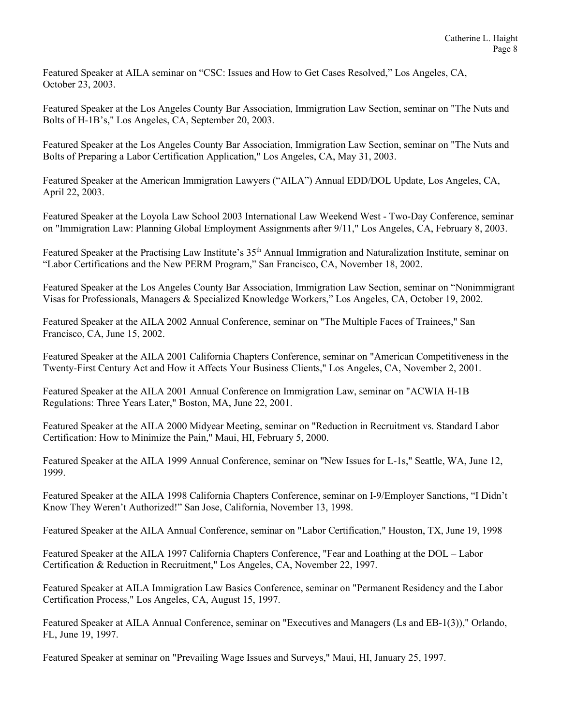Featured Speaker at AILA seminar on "CSC: Issues and How to Get Cases Resolved," Los Angeles, CA, October 23, 2003.

Featured Speaker at the Los Angeles County Bar Association, Immigration Law Section, seminar on "The Nuts and Bolts of H-1B's," Los Angeles, CA, September 20, 2003.

Featured Speaker at the Los Angeles County Bar Association, Immigration Law Section, seminar on "The Nuts and Bolts of Preparing a Labor Certification Application," Los Angeles, CA, May 31, 2003.

Featured Speaker at the American Immigration Lawyers ("AILA") Annual EDD/DOL Update, Los Angeles, CA, April 22, 2003.

Featured Speaker at the Loyola Law School 2003 International Law Weekend West - Two-Day Conference, seminar on "Immigration Law: Planning Global Employment Assignments after 9/11," Los Angeles, CA, February 8, 2003.

Featured Speaker at the Practising Law Institute's 35<sup>th</sup> Annual Immigration and Naturalization Institute, seminar on "Labor Certifications and the New PERM Program," San Francisco, CA, November 18, 2002.

Featured Speaker at the Los Angeles County Bar Association, Immigration Law Section, seminar on "Nonimmigrant Visas for Professionals, Managers & Specialized Knowledge Workers," Los Angeles, CA, October 19, 2002.

Featured Speaker at the AILA 2002 Annual Conference, seminar on "The Multiple Faces of Trainees," San Francisco, CA, June 15, 2002.

Featured Speaker at the AILA 2001 California Chapters Conference, seminar on "American Competitiveness in the Twenty-First Century Act and How it Affects Your Business Clients," Los Angeles, CA, November 2, 2001.

Featured Speaker at the AILA 2001 Annual Conference on Immigration Law, seminar on "ACWIA H-1B Regulations: Three Years Later," Boston, MA, June 22, 2001.

Featured Speaker at the AILA 2000 Midyear Meeting, seminar on "Reduction in Recruitment vs. Standard Labor Certification: How to Minimize the Pain," Maui, HI, February 5, 2000.

Featured Speaker at the AILA 1999 Annual Conference, seminar on "New Issues for L-1s," Seattle, WA, June 12, 1999.

Featured Speaker at the AILA 1998 California Chapters Conference, seminar on I-9/Employer Sanctions, "I Didn't Know They Weren't Authorized!" San Jose, California, November 13, 1998.

Featured Speaker at the AILA Annual Conference, seminar on "Labor Certification," Houston, TX, June 19, 1998

Featured Speaker at the AILA 1997 California Chapters Conference, "Fear and Loathing at the DOL – Labor Certification & Reduction in Recruitment," Los Angeles, CA, November 22, 1997.

Featured Speaker at AILA Immigration Law Basics Conference, seminar on "Permanent Residency and the Labor Certification Process," Los Angeles, CA, August 15, 1997.

Featured Speaker at AILA Annual Conference, seminar on "Executives and Managers (Ls and EB-1(3))," Orlando, FL, June 19, 1997.

Featured Speaker at seminar on "Prevailing Wage Issues and Surveys," Maui, HI, January 25, 1997.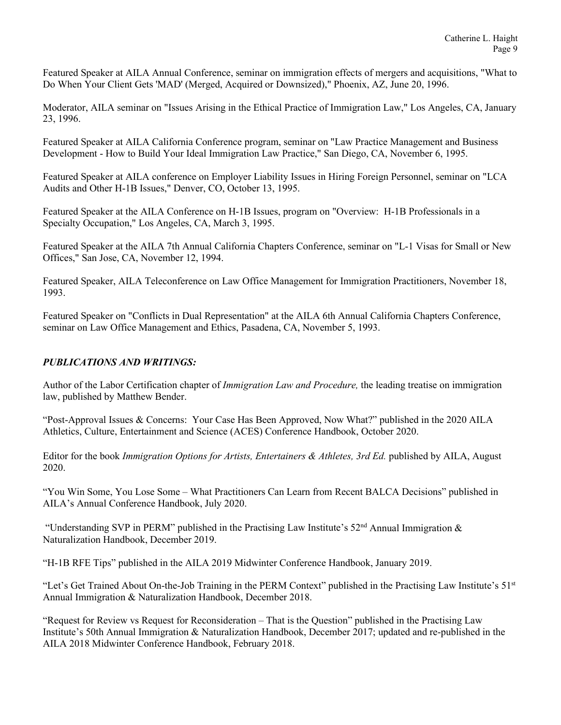Featured Speaker at AILA Annual Conference, seminar on immigration effects of mergers and acquisitions, "What to Do When Your Client Gets 'MAD' (Merged, Acquired or Downsized)," Phoenix, AZ, June 20, 1996.

Moderator, AILA seminar on "Issues Arising in the Ethical Practice of Immigration Law," Los Angeles, CA, January 23, 1996.

Featured Speaker at AILA California Conference program, seminar on "Law Practice Management and Business Development - How to Build Your Ideal Immigration Law Practice," San Diego, CA, November 6, 1995.

Featured Speaker at AILA conference on Employer Liability Issues in Hiring Foreign Personnel, seminar on "LCA Audits and Other H-1B Issues," Denver, CO, October 13, 1995.

Featured Speaker at the AILA Conference on H-1B Issues, program on "Overview: H-1B Professionals in a Specialty Occupation," Los Angeles, CA, March 3, 1995.

Featured Speaker at the AILA 7th Annual California Chapters Conference, seminar on "L-1 Visas for Small or New Offices," San Jose, CA, November 12, 1994.

Featured Speaker, AILA Teleconference on Law Office Management for Immigration Practitioners, November 18, 1993.

Featured Speaker on "Conflicts in Dual Representation" at the AILA 6th Annual California Chapters Conference, seminar on Law Office Management and Ethics, Pasadena, CA, November 5, 1993.

## *PUBLICATIONS AND WRITINGS:*

Author of the Labor Certification chapter of *Immigration Law and Procedure,* the leading treatise on immigration law, published by Matthew Bender.

"Post-Approval Issues & Concerns: Your Case Has Been Approved, Now What?" published in the 2020 AILA Athletics, Culture, Entertainment and Science (ACES) Conference Handbook, October 2020.

Editor for the book *Immigration Options for Artists, Entertainers & Athletes, 3rd Ed.* published by AILA, August 2020.

"You Win Some, You Lose Some – What Practitioners Can Learn from Recent BALCA Decisions" published in AILA's Annual Conference Handbook, July 2020.

"Understanding SVP in PERM" published in the Practising Law Institute's 52<sup>nd</sup> Annual Immigration & Naturalization Handbook, December 2019.

"H-1B RFE Tips" published in the AILA 2019 Midwinter Conference Handbook, January 2019.

"Let's Get Trained About On-the-Job Training in the PERM Context" published in the Practising Law Institute's  $51<sup>st</sup>$ Annual Immigration & Naturalization Handbook, December 2018.

"Request for Review vs Request for Reconsideration – That is the Question" published in the Practising Law Institute's 50th Annual Immigration & Naturalization Handbook, December 2017; updated and re-published in the AILA 2018 Midwinter Conference Handbook, February 2018.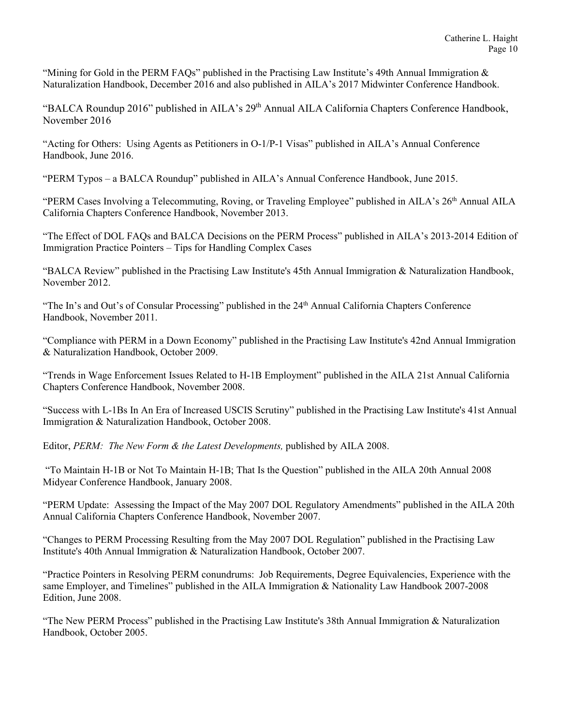"Mining for Gold in the PERM FAQs" published in the Practising Law Institute's 49th Annual Immigration  $\&$ Naturalization Handbook, December 2016 and also published in AILA's 2017 Midwinter Conference Handbook.

"BALCA Roundup 2016" published in AILA's 29<sup>th</sup> Annual AILA California Chapters Conference Handbook, November 2016

"Acting for Others: Using Agents as Petitioners in O-1/P-1 Visas" published in AILA's Annual Conference Handbook, June 2016.

"PERM Typos – a BALCA Roundup" published in AILA's Annual Conference Handbook, June 2015.

"PERM Cases Involving a Telecommuting, Roving, or Traveling Employee" published in AILA's 26<sup>th</sup> Annual AILA California Chapters Conference Handbook, November 2013.

"The Effect of DOL FAQs and BALCA Decisions on the PERM Process" published in AILA's 2013-2014 Edition of Immigration Practice Pointers – Tips for Handling Complex Cases

"BALCA Review" published in the Practising Law Institute's 45th Annual Immigration & Naturalization Handbook, November 2012.

"The In's and Out's of Consular Processing" published in the 24<sup>th</sup> Annual California Chapters Conference Handbook, November 2011.

"Compliance with PERM in a Down Economy" published in the Practising Law Institute's 42nd Annual Immigration & Naturalization Handbook, October 2009.

"Trends in Wage Enforcement Issues Related to H-1B Employment" published in the AILA 21st Annual California Chapters Conference Handbook, November 2008.

"Success with L-1Bs In An Era of Increased USCIS Scrutiny" published in the Practising Law Institute's 41st Annual Immigration & Naturalization Handbook, October 2008.

Editor, *PERM: The New Form & the Latest Developments,* published by AILA 2008.

"To Maintain H-1B or Not To Maintain H-1B; That Is the Question" published in the AILA 20th Annual 2008 Midyear Conference Handbook, January 2008.

"PERM Update: Assessing the Impact of the May 2007 DOL Regulatory Amendments" published in the AILA 20th Annual California Chapters Conference Handbook, November 2007.

"Changes to PERM Processing Resulting from the May 2007 DOL Regulation" published in the Practising Law Institute's 40th Annual Immigration & Naturalization Handbook, October 2007.

"Practice Pointers in Resolving PERM conundrums: Job Requirements, Degree Equivalencies, Experience with the same Employer, and Timelines" published in the AILA Immigration & Nationality Law Handbook 2007-2008 Edition, June 2008.

"The New PERM Process" published in the Practising Law Institute's 38th Annual Immigration & Naturalization Handbook, October 2005.